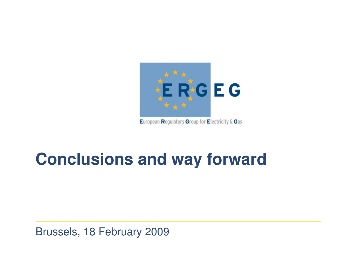

European Regulators Group for Electricity & Gas

## **Conclusions and way forward**

Brussels, 18 February 2009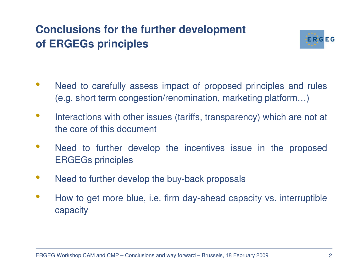

- • Need to carefully assess impact of proposed principles and rules (e.g. short term congestion/renomination, marketing platform…)
- $\bullet$  Interactions with other issues (tariffs, transparency) which are not at the core of this document
- $\bullet$  Need to further develop the incentives issue in the proposed ERGEGs principles
- $\bullet$ Need to further develop the buy-back proposals
- $\bullet$  How to get more blue, i.e. firm day-ahead capacity vs. interruptible capacity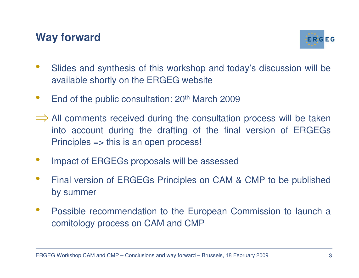

- • Slides and synthesis of this workshop and today's discussion will be available shortly on the ERGEG website
- •End of the public consultation: 20<sup>th</sup> March 2009
- ⇒ All comments received during the consultation process will be taken All comments received during the consultation process will be taken into account during the drafting of the final version of ERGEGs Principles => this is an open process!
- •Impact of ERGEGs proposals will be assessed
- • Final version of ERGEGs Principles on CAM & CMP to be published by summer
- $\bullet$  Possible recommendation to the European Commission to launch a comitology process on CAM and CMP